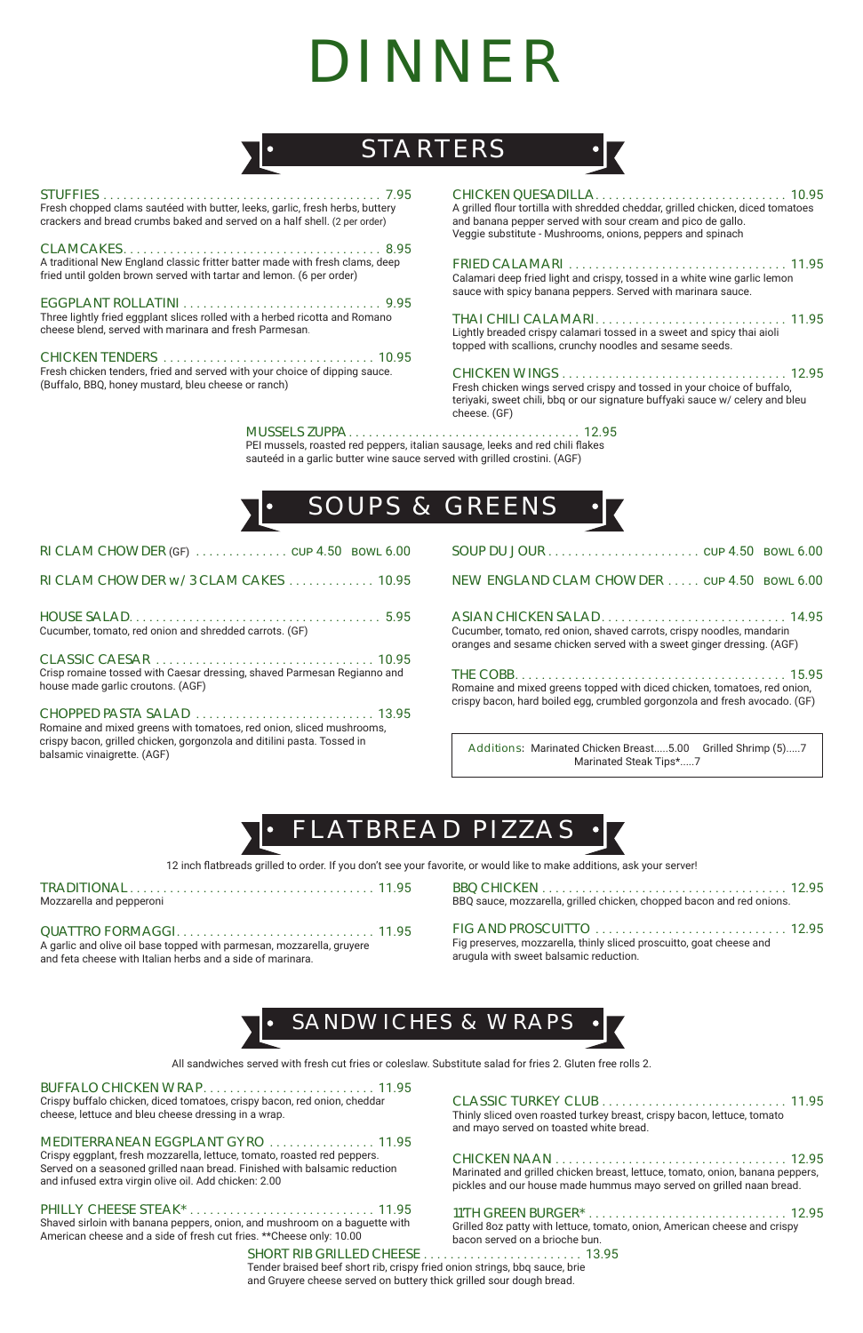## STARTERS

## DINNER

## FLATBREAD PIZZAS

## SANDWICHES & WRAPS

| Fresh chopped clams sautéed with butter, leeks, garlic, fresh herbs, buttery<br>crackers and bread crumbs baked and served on a half shell. (2 per order) | $\mathcal{C}$<br>$\mathsf{A}$<br>an<br>Ve |
|-----------------------------------------------------------------------------------------------------------------------------------------------------------|-------------------------------------------|
| A traditional New England classic fritter batter made with fresh clams, deep<br>fried until golden brown served with tartar and lemon. (6 per order)      | FI<br>Сa                                  |
|                                                                                                                                                           | sa                                        |
| Three lightly fried eggplant slices rolled with a herbed ricotta and Romano                                                                               | TI                                        |
| cheese blend, served with marinara and fresh Parmesan.                                                                                                    | Lig                                       |
|                                                                                                                                                           | to                                        |
| Fresh chicken tenders, fried and served with your choice of dipping sauce.                                                                                | $\overline{C}$                            |
| (Buffalo, BBQ, honey mustard, bleu cheese or ranch)                                                                                                       | Fr                                        |

CHICKEN QUESADILLA . . . . . . . . . . . . . . . . . . . . . . . . . . . . . 10.95 grilled flour tortilla with shredded cheddar, grilled chicken, diced tomatoes d banana pepper served with sour cream and pico de gallo. eggie substitute - Mushrooms, onions, peppers and spinach

Crispy buffalo chicken, diced tomatoes, crispy bacon, red onion, cheddar cheese, lettuce and bleu cheese dressing in a wrap.

FRIED CALAMARI . . . . . . . . . . . . . . . . . . . . . . . . . . . . . . . . . 11.95 alamari deep fried light and crispy, tossed in a white wine garlic lemon auce with spicy banana peppers. Served with marinara sauce.

## MEDITERRANEAN EGGPLANT GYRO . . . . . . . . . . . . . . . . 11.95

THAI CHILI CALAMARI . . . . . . . . . . . . . . . . . . . . . . . . . . . . . 11.95 ghtly breaded crispy calamari tossed in a sweet and spicy thai aioli pped with scallions, crunchy noodles and sesame seeds.

Crispy eggplant, fresh mozzarella, lettuce, tomato, roasted red peppers. Served on a seasoned grilled naan bread. Finished with balsamic reduction and infused extra virgin olive oil. Add chicken: 2.00

## PHILLY CHEESE STEAK\* . . . . . . . . . . . . . . . . . . . . . . . . . . . . 11.95

Shaved sirloin with banana peppers, onion, and mushroom on a baguette with American cheese and a side of fresh cut fries. \*\*Cheese only: 10.00

| Mozzarella and pepperoni |  |  |
|--------------------------|--|--|

QUATTRO FORMAGGI . . . . . . . . . . . . . . . . . . . . . . . . . . . . . . 11.95 A garlic and olive oil base topped with parmesan, mozzarella, gruyere and feta cheese with Italian herbs and a side of marinara.

Additions: Marinated Chicken Breast.....5.00 Grilled Shrimp (5).....7 Marinated Steak Tips\*.....7

CHICKEN WINGS . . . . . . . . . . . . . . . . . . . . . . . . . . . . . . . . . . 12.95 esh chicken wings served crispy and tossed in your choice of buffalo, teriyaki, sweet chili, bbq or our signature buffyaki sauce w/ celery and bleu cheese. (GF)

## CLASSIC TURKEY CLUB . . . . . . . . . . . . . . . . . . . . . . . . . . . . 11.95

Thinly sliced oven roasted turkey breast, crispy bacon, lettuce, tomato and mayo served on toasted white bread.

## CHICKEN NAAN . . . . . . . . . . . . . . . . . . . . . . . . . . . . . . . . . . . 12.95

Marinated and grilled chicken breast, lettuce, tomato, onion, banana peppers, pickles and our house made hummus mayo served on grilled naan bread.

## 11'TH GREEN BURGER\* . . . . . . . . . . . . . . . . . . . . . . . . . . . . . . 12.95

Grilled 8oz patty with lettuce, tomato, onion, American cheese and crispy bacon served on a brioche bun.

BBQ CHICKEN . . . . . . . . . . . . . . . . . . . . . . . . . . . . . . . . . . . . . 12.95 BBQ sauce, mozzarella, grilled chicken, chopped bacon and red onions.

## FIG AND PROSCUITTO . . . . . . . . . . . . . . . . . . . . . . . . . . . . . 12.95

Fig preserves, mozzarella, thinly sliced proscuitto, goat cheese and arugula with sweet balsamic reduction.

12 inch flatbreads grilled to order. If you don't see your favorite, or would like to make additions, ask your server!

| RI CLAM CHOWDER (GF) $\ldots$ CUP 4.50 BOWL 6.00                                                                                                                               |
|--------------------------------------------------------------------------------------------------------------------------------------------------------------------------------|
| RI CLAM CHOWDER w/3 CLAM CAKES  10.95                                                                                                                                          |
| Cucumber, tomato, red onion and shredded carrots. (GF)                                                                                                                         |
| Crisp romaine tossed with Caesar dressing, shaved Parmesan Regianno and<br>house made garlic croutons. (AGF)                                                                   |
| Romaine and mixed greens with tomatoes, red onion, sliced mushrooms,<br>crispy bacon, grilled chicken, gorgonzola and ditilini pasta. Tossed in<br>balsamic vinaigrette. (AGF) |

ASIAN CHICKEN SALAD . . . . . . . . . . . . . . . . . . . . . . . . . . . . 14.95 Cucumber, tomato, red onion, shaved carrots, crispy noodles, mandarin oranges and sesame chicken served with a sweet ginger dressing. (AGF)

| Romaine and mixed greens topped with diced chicken, tomatoes, red onion, |  |
|--------------------------------------------------------------------------|--|

crispy bacon, hard boiled egg, crumbled gorgonzola and fresh avocado. (GF)

| $\text{SOUP DU JOUR} \dots \dots \dots \dots \dots \dots \dots \dots \text{cup } 4.50$ bowl $6.00$ |  |
|----------------------------------------------------------------------------------------------------|--|
| NEW ENGLAND CLAM CHOWDER cup 4.50 BOWL 6.00                                                        |  |

All sandwiches served with fresh cut fries or coleslaw. Substitute salad for fries 2. Gluten free rolls 2.

## BUFFALO CHICKEN WRAP............................. 11.95

## SHORT RIB GRILLED CHEESE . . . . . . . . . . . . . . . . . . . . . . . . 13.95

Tender braised beef short rib, crispy fried onion strings, bbq sauce, brie and Gruyere cheese served on buttery thick grilled sour dough bread.

## MUSSELS ZUPPA . . . . . . . . . . . . . . . . . . . . . . . . . . . . . . . . . . . 12.95

PEI mussels, roasted red peppers, italian sausage, leeks and red chili flakes sauteéd in a garlic butter wine sauce served with grilled crostini. (AGF)